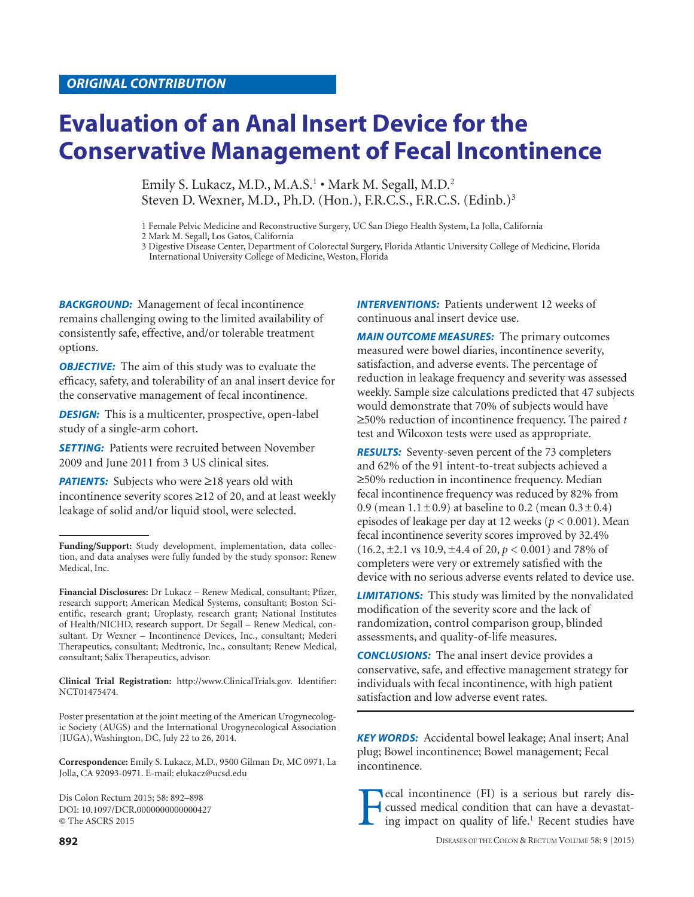# **Evaluation of an Anal Insert Device for the**

Emily S. Lukacz, M.D., M.A.S.<sup>1</sup> • Mark M. Segall, M.D.<sup>2</sup> Steven D. Wexner, M.D., Ph.D. (Hon.), F.R.C.S., F.R.C.S. (Edinb.)<sup>3</sup>

1 Female Pelvic Medicine and Reconstructive Surgery, UC San Diego Health System, La Jolla, California

2 Mark M. Segall, Los Gatos, California

3 Digestive Disease Center, Department of Colorectal Surgery, Florida Atlantic University College of Medicine, Florida International University College of Medicine, Weston, Florida

**BACKGROUND:** Management of fecal incontinence remains challenging owing to the limited availability of consistently safe, effective, and/or tolerable treatment options.

*OBJECTIVE:* The aim of this study was to evaluate the efficacy, safety, and tolerability of an anal insert device for the conservative management of fecal incontinence.

**DESIGN:** This is a multicenter, prospective, open-label study of a single-arm cohort.

**SETTING:** Patients were recruited between November 2009 and June 2011 from 3 US clinical sites.

**PATIENTS:** Subjects who were ≥18 years old with incontinence severity scores ≥12 of 20, and at least weekly leakage of solid and/or liquid stool, were selected.

**Clinical Trial Registration:** http://www.ClinicalTrials.gov. Identifier: NCT01475474.

Poster presentation at the joint meeting of the American Urogynecologic Society (AUGS) and the International Urogynecological Association (IUGA), Washington, DC, July 22 to 26, 2014.

**Correspondence:** Emily S. Lukacz, M.D., 9500 Gilman Dr, MC 0971, La Jolla, CA 92093-0971. E-mail: elukacz@ucsd.edu

Dis Colon Rectum 2015; 58: 892–898 DOI: 10.1097/DCR.0000000000000427 © The ASCRS 2015

**INTERVENTIONS:** Patients underwent 12 weeks of continuous anal insert device use.

*MAIN OUTCOME MEASURES:* The primary outcomes measured were bowel diaries, incontinence severity, satisfaction, and adverse events. The percentage of reduction in leakage frequency and severity was assessed weekly. Sample size calculations predicted that 47 subjects would demonstrate that 70% of subjects would have ≥50% reduction of incontinence frequency. The paired *t* test and Wilcoxon tests were used as appropriate.

*RESULTS:* Seventy-seven percent of the 73 completers and 62% of the 91 intent-to-treat subjects achieved a ≥50% reduction in incontinence frequency. Median fecal incontinence frequency was reduced by 82% from 0.9 (mean  $1.1 \pm 0.9$ ) at baseline to 0.2 (mean  $0.3 \pm 0.4$ ) episodes of leakage per day at 12 weeks (*p* < 0.001). Mean fecal incontinence severity scores improved by 32.4% (16.2, ±2.1 vs 10.9, ±4.4 of 20, *p* < 0.001) and 78% of completers were very or extremely satisfied with the device with no serious adverse events related to device use.

*LIMITATIONS:* This study was limited by the nonvalidated modification of the severity score and the lack of randomization, control comparison group, blinded assessments, and quality-of-life measures.

*CONCLUSIONS:* The anal insert device provides a conservative, safe, and effective management strategy for individuals with fecal incontinence, with high patient satisfaction and low adverse event rates.

*KEY WORDS:* Accidental bowel leakage; Anal insert; Anal plug; Bowel incontinence; Bowel management; Fecal incontinence.

Fecal incontinence (FI) is a serious but rarely dis-<br>cussed medical condition that can have a devastating impact on quality of life.<sup>1</sup> Recent studies have cussed medical condition that can have a devastating impact on quality of life.<sup>1</sup> Recent studies have

**Funding/Support:** Study development, implementation, data collection, and data analyses were fully funded by the study sponsor: Renew Medical, Inc.

**Financial Disclosures:** Dr Lukacz – Renew Medical, consultant; Pfizer, research support; American Medical Systems, consultant; Boston Scientific, research grant; Uroplasty, research grant; National Institutes of Health/NICHD, research support. Dr Segall – Renew Medical, consultant. Dr Wexner – Incontinence Devices, Inc., consultant; Mederi Therapeutics, consultant; Medtronic, Inc., consultant; Renew Medical, consultant; Salix Therapeutics, advisor.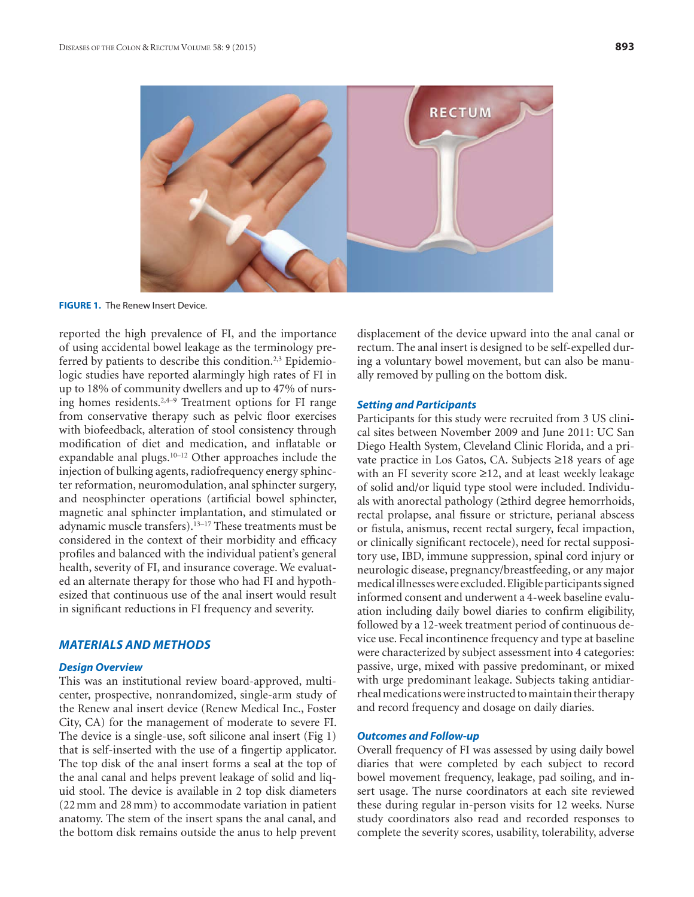

**FIGURE 1.** The Renew Insert Device.

reported the high prevalence of FI, and the importance of using accidental bowel leakage as the terminology preferred by patients to describe this condition.<sup>2,3</sup> Epidemiologic studies have reported alarmingly high rates of FI in up to 18% of community dwellers and up to 47% of nursing homes residents. $2,4-9$  Treatment options for FI range from conservative therapy such as pelvic floor exercises with biofeedback, alteration of stool consistency through modification of diet and medication, and inflatable or expandable anal plugs.<sup>10-12</sup> Other approaches include the injection of bulking agents, radiofrequency energy sphincter reformation, neuromodulation, anal sphincter surgery, and neosphincter operations (artificial bowel sphincter, magnetic anal sphincter implantation, and stimulated or adynamic muscle transfers).<sup>13-17</sup> These treatments must be considered in the context of their morbidity and efficacy profiles and balanced with the individual patient's general health, severity of FI, and insurance coverage. We evaluated an alternate therapy for those who had FI and hypothesized that continuous use of the anal insert would result in significant reductions in FI frequency and severity.

### *MATERIALS AND METHODS*

#### *Design Overview*

This was an institutional review board-approved, multicenter, prospective, nonrandomized, single-arm study of the Renew anal insert device (Renew Medical Inc., Foster City, CA) for the management of moderate to severe FI. The device is a single-use, soft silicone anal insert (Fig 1) that is self-inserted with the use of a fingertip applicator. The top disk of the anal insert forms a seal at the top of the anal canal and helps prevent leakage of solid and liquid stool. The device is available in 2 top disk diameters (22 mm and 28 mm) to accommodate variation in patient anatomy. The stem of the insert spans the anal canal, and the bottom disk remains outside the anus to help prevent

displacement of the device upward into the anal canal or rectum. The anal insert is designed to be self-expelled during a voluntary bowel movement, but can also be manually removed by pulling on the bottom disk.

# *Setting and Participants*

Participants for this study were recruited from 3 US clinical sites between November 2009 and June 2011: UC San Diego Health System, Cleveland Clinic Florida, and a private practice in Los Gatos, CA. Subjects ≥18 years of age with an FI severity score ≥12, and at least weekly leakage of solid and/or liquid type stool were included. Individuals with anorectal pathology (≥third degree hemorrhoids, rectal prolapse, anal fissure or stricture, perianal abscess or fistula, anismus, recent rectal surgery, fecal impaction, or clinically significant rectocele), need for rectal suppository use, IBD, immune suppression, spinal cord injury or neurologic disease, pregnancy/breastfeeding, or any major medical illnesses were excluded. Eligible participants signed informed consent and underwent a 4-week baseline evaluation including daily bowel diaries to confirm eligibility, followed by a 12-week treatment period of continuous device use. Fecal incontinence frequency and type at baseline were characterized by subject assessment into 4 categories: passive, urge, mixed with passive predominant, or mixed with urge predominant leakage. Subjects taking antidiarrheal medications were instructed to maintain their therapy and record frequency and dosage on daily diaries.

#### *Outcomes and Follow-up*

Overall frequency of FI was assessed by using daily bowel diaries that were completed by each subject to record bowel movement frequency, leakage, pad soiling, and insert usage. The nurse coordinators at each site reviewed these during regular in-person visits for 12 weeks. Nurse study coordinators also read and recorded responses to complete the severity scores, usability, tolerability, adverse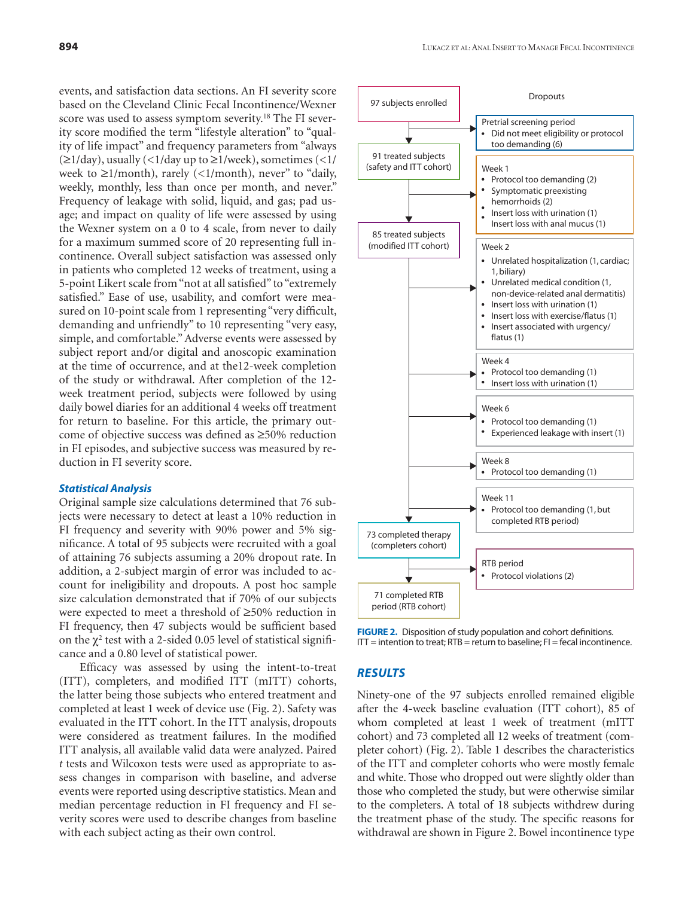events, and satisfaction data sections. An FI severity score based on the Cleveland Clinic Fecal Incontinence/Wexner score was used to assess symptom severity.<sup>18</sup> The FI severity score modified the term "lifestyle alteration" to "quality of life impact" and frequency parameters from "always  $(\geq 1/\text{day})$ , usually  $(\leq 1/\text{day up to } \geq 1/\text{week})$ , sometimes  $(\leq 1/\text{day})$ week to ≥1/month), rarely (<1/month), never" to "daily, weekly, monthly, less than once per month, and never." Frequency of leakage with solid, liquid, and gas; pad usage; and impact on quality of life were assessed by using the Wexner system on a 0 to 4 scale, from never to daily for a maximum summed score of 20 representing full incontinence. Overall subject satisfaction was assessed only in patients who completed 12 weeks of treatment, using a 5-point Likert scale from "not at all satisfied" to "extremely satisfied." Ease of use, usability, and comfort were measured on 10-point scale from 1 representing "very difficult, demanding and unfriendly" to 10 representing "very easy, simple, and comfortable." Adverse events were assessed by subject report and/or digital and anoscopic examination at the time of occurrence, and at the12-week completion of the study or withdrawal. After completion of the 12 week treatment period, subjects were followed by using daily bowel diaries for an additional 4 weeks off treatment for return to baseline. For this article, the primary outcome of objective success was defined as ≥50% reduction in FI episodes, and subjective success was measured by reduction in FI severity score.

#### *Statistical Analysis*

Original sample size calculations determined that 76 subjects were necessary to detect at least a 10% reduction in FI frequency and severity with 90% power and 5% significance. A total of 95 subjects were recruited with a goal of attaining 76 subjects assuming a 20% dropout rate. In addition, a 2-subject margin of error was included to account for ineligibility and dropouts. A post hoc sample size calculation demonstrated that if 70% of our subjects were expected to meet a threshold of ≥50% reduction in FI frequency, then 47 subjects would be sufficient based on the  $\chi^2$  test with a 2-sided 0.05 level of statistical significance and a 0.80 level of statistical power.

Efficacy was assessed by using the intent-to-treat (ITT), completers, and modified ITT (mITT) cohorts, the latter being those subjects who entered treatment and completed at least 1 week of device use (Fig. 2). Safety was evaluated in the ITT cohort. In the ITT analysis, dropouts were considered as treatment failures. In the modified ITT analysis, all available valid data were analyzed. Paired *t* tests and Wilcoxon tests were used as appropriate to assess changes in comparison with baseline, and adverse events were reported using descriptive statistics. Mean and median percentage reduction in FI frequency and FI severity scores were used to describe changes from baseline with each subject acting as their own control.



**FIGURE 2.** Disposition of study population and cohort definitions.  $IT =$  intention to treat;  $RTB =$  return to baseline;  $FI =$  fecal incontinence.

### *RESULTS*

Ninety-one of the 97 subjects enrolled remained eligible after the 4-week baseline evaluation (ITT cohort), 85 of whom completed at least 1 week of treatment (mITT cohort) and 73 completed all 12 weeks of treatment (completer cohort) (Fig. 2). Table 1 describes the characteristics of the ITT and completer cohorts who were mostly female and white. Those who dropped out were slightly older than those who completed the study, but were otherwise similar to the completers. A total of 18 subjects withdrew during the treatment phase of the study. The specific reasons for withdrawal are shown in Figure 2. Bowel incontinence type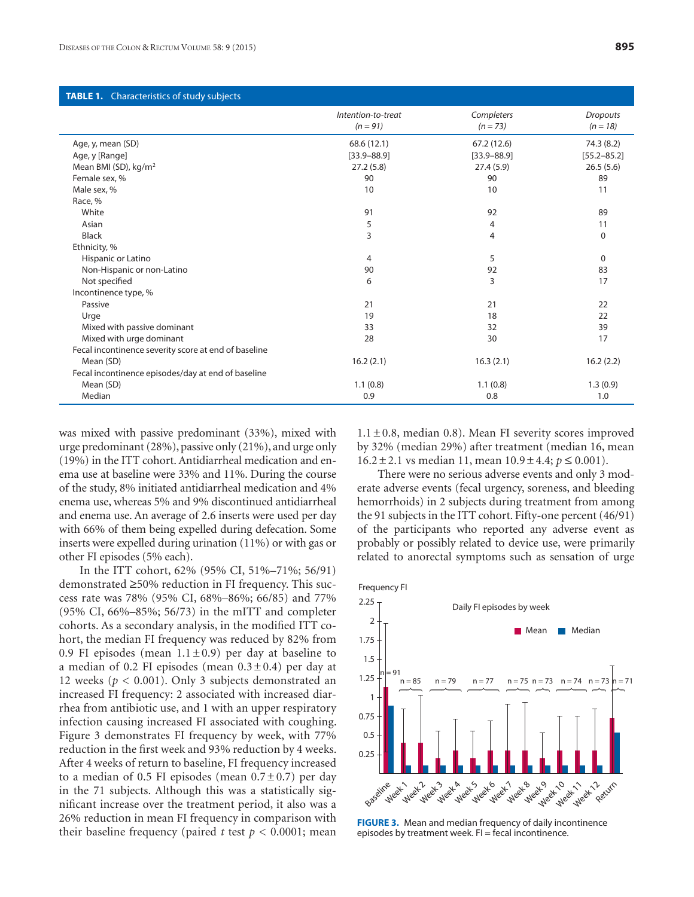| Completers<br><b>Dropouts</b><br>Intention-to-treat<br>$(n = 18)$<br>$(n = 91)$<br>$(n = 73)$<br>Age, y, mean (SD)<br>68.6 (12.1)<br>67.2 (12.6)<br>74.3 (8.2)<br>Age, y [Range]<br>$[33.9 - 88.9]$<br>$[33.9 - 88.9]$<br>$[55.2 - 85.2]$<br>Mean BMI (SD), kg/m <sup>2</sup><br>27.2(5.8)<br>27.4(5.9)<br>26.5(5.6)<br>Female sex, %<br>90<br>90<br>89<br>Male sex, %<br>10<br>10<br>11<br>Race, %<br>White<br>91<br>92<br>89<br>5<br>Asian<br>4<br>11<br>3<br><b>Black</b><br>4<br>$\Omega$<br>Ethnicity, %<br>5<br>Hispanic or Latino<br>4<br>$\mathbf 0$<br>Non-Hispanic or non-Latino<br>90<br>92<br>83<br>3<br>Not specified<br>6<br>17<br>Incontinence type, %<br>Passive<br>21<br>21<br>22<br>Urge<br>19<br>18<br>22<br>Mixed with passive dominant<br>33<br>32<br>39<br>Mixed with urge dominant<br>17<br>28<br>30<br>Fecal incontinence severity score at end of baseline<br>Mean (SD)<br>16.3(2.1)<br>16.2(2.1)<br>16.2(2.2)<br>Fecal incontinence episodes/day at end of baseline<br>Mean (SD)<br>1.1(0.8)<br>1.1(0.8)<br>1.3(0.9)<br>Median<br>0.9<br>0.8<br>1.0 | <b>TABLE 1.</b> Characteristics of study subjects |  |  |  |  |
|-------------------------------------------------------------------------------------------------------------------------------------------------------------------------------------------------------------------------------------------------------------------------------------------------------------------------------------------------------------------------------------------------------------------------------------------------------------------------------------------------------------------------------------------------------------------------------------------------------------------------------------------------------------------------------------------------------------------------------------------------------------------------------------------------------------------------------------------------------------------------------------------------------------------------------------------------------------------------------------------------------------------------------------------------------------------------------|---------------------------------------------------|--|--|--|--|
|                                                                                                                                                                                                                                                                                                                                                                                                                                                                                                                                                                                                                                                                                                                                                                                                                                                                                                                                                                                                                                                                               |                                                   |  |  |  |  |
|                                                                                                                                                                                                                                                                                                                                                                                                                                                                                                                                                                                                                                                                                                                                                                                                                                                                                                                                                                                                                                                                               |                                                   |  |  |  |  |
|                                                                                                                                                                                                                                                                                                                                                                                                                                                                                                                                                                                                                                                                                                                                                                                                                                                                                                                                                                                                                                                                               |                                                   |  |  |  |  |
|                                                                                                                                                                                                                                                                                                                                                                                                                                                                                                                                                                                                                                                                                                                                                                                                                                                                                                                                                                                                                                                                               |                                                   |  |  |  |  |
|                                                                                                                                                                                                                                                                                                                                                                                                                                                                                                                                                                                                                                                                                                                                                                                                                                                                                                                                                                                                                                                                               |                                                   |  |  |  |  |
|                                                                                                                                                                                                                                                                                                                                                                                                                                                                                                                                                                                                                                                                                                                                                                                                                                                                                                                                                                                                                                                                               |                                                   |  |  |  |  |
|                                                                                                                                                                                                                                                                                                                                                                                                                                                                                                                                                                                                                                                                                                                                                                                                                                                                                                                                                                                                                                                                               |                                                   |  |  |  |  |
|                                                                                                                                                                                                                                                                                                                                                                                                                                                                                                                                                                                                                                                                                                                                                                                                                                                                                                                                                                                                                                                                               |                                                   |  |  |  |  |
|                                                                                                                                                                                                                                                                                                                                                                                                                                                                                                                                                                                                                                                                                                                                                                                                                                                                                                                                                                                                                                                                               |                                                   |  |  |  |  |
|                                                                                                                                                                                                                                                                                                                                                                                                                                                                                                                                                                                                                                                                                                                                                                                                                                                                                                                                                                                                                                                                               |                                                   |  |  |  |  |
|                                                                                                                                                                                                                                                                                                                                                                                                                                                                                                                                                                                                                                                                                                                                                                                                                                                                                                                                                                                                                                                                               |                                                   |  |  |  |  |
|                                                                                                                                                                                                                                                                                                                                                                                                                                                                                                                                                                                                                                                                                                                                                                                                                                                                                                                                                                                                                                                                               |                                                   |  |  |  |  |
|                                                                                                                                                                                                                                                                                                                                                                                                                                                                                                                                                                                                                                                                                                                                                                                                                                                                                                                                                                                                                                                                               |                                                   |  |  |  |  |
|                                                                                                                                                                                                                                                                                                                                                                                                                                                                                                                                                                                                                                                                                                                                                                                                                                                                                                                                                                                                                                                                               |                                                   |  |  |  |  |
|                                                                                                                                                                                                                                                                                                                                                                                                                                                                                                                                                                                                                                                                                                                                                                                                                                                                                                                                                                                                                                                                               |                                                   |  |  |  |  |
|                                                                                                                                                                                                                                                                                                                                                                                                                                                                                                                                                                                                                                                                                                                                                                                                                                                                                                                                                                                                                                                                               |                                                   |  |  |  |  |
|                                                                                                                                                                                                                                                                                                                                                                                                                                                                                                                                                                                                                                                                                                                                                                                                                                                                                                                                                                                                                                                                               |                                                   |  |  |  |  |
|                                                                                                                                                                                                                                                                                                                                                                                                                                                                                                                                                                                                                                                                                                                                                                                                                                                                                                                                                                                                                                                                               |                                                   |  |  |  |  |
|                                                                                                                                                                                                                                                                                                                                                                                                                                                                                                                                                                                                                                                                                                                                                                                                                                                                                                                                                                                                                                                                               |                                                   |  |  |  |  |
|                                                                                                                                                                                                                                                                                                                                                                                                                                                                                                                                                                                                                                                                                                                                                                                                                                                                                                                                                                                                                                                                               |                                                   |  |  |  |  |
|                                                                                                                                                                                                                                                                                                                                                                                                                                                                                                                                                                                                                                                                                                                                                                                                                                                                                                                                                                                                                                                                               |                                                   |  |  |  |  |
|                                                                                                                                                                                                                                                                                                                                                                                                                                                                                                                                                                                                                                                                                                                                                                                                                                                                                                                                                                                                                                                                               |                                                   |  |  |  |  |
|                                                                                                                                                                                                                                                                                                                                                                                                                                                                                                                                                                                                                                                                                                                                                                                                                                                                                                                                                                                                                                                                               |                                                   |  |  |  |  |
|                                                                                                                                                                                                                                                                                                                                                                                                                                                                                                                                                                                                                                                                                                                                                                                                                                                                                                                                                                                                                                                                               |                                                   |  |  |  |  |

was mixed with passive predominant (33%), mixed with urge predominant (28%), passive only (21%), and urge only (19%) in the ITT cohort. Antidiarrheal medication and enema use at baseline were 33% and 11%. During the course of the study, 8% initiated antidiarrheal medication and 4% enema use, whereas 5% and 9% discontinued antidiarrheal and enema use. An average of 2.6 inserts were used per day with 66% of them being expelled during defecation. Some inserts were expelled during urination (11%) or with gas or other FI episodes (5% each).

In the ITT cohort, 62% (95% CI, 51%–71%; 56/91) demonstrated ≥50% reduction in FI frequency. This success rate was 78% (95% CI, 68%–86%; 66/85) and 77% (95% CI, 66%–85%; 56/73) in the mITT and completer cohorts. As a secondary analysis, in the modified ITT cohort, the median FI frequency was reduced by 82% from 0.9 FI episodes (mean  $1.1 \pm 0.9$ ) per day at baseline to a median of 0.2 FI episodes (mean  $0.3 \pm 0.4$ ) per day at 12 weeks ( $p < 0.001$ ). Only 3 subjects demonstrated an increased FI frequency: 2 associated with increased diarrhea from antibiotic use, and 1 with an upper respiratory infection causing increased FI associated with coughing. Figure 3 demonstrates FI frequency by week, with 77% reduction in the first week and 93% reduction by 4 weeks. After 4 weeks of return to baseline, FI frequency increased to a median of 0.5 FI episodes (mean  $0.7 \pm 0.7$ ) per day in the 71 subjects. Although this was a statistically significant increase over the treatment period, it also was a 26% reduction in mean FI frequency in comparison with their baseline frequency (paired *t* test  $p < 0.0001$ ; mean

 $1.1 \pm 0.8$ , median 0.8). Mean FI severity scores improved by 32% (median 29%) after treatment (median 16, mean 16.2 ± 2.1 vs median 11, mean 10.9 ± 4.4; *p* ≤ 0.001).

There were no serious adverse events and only 3 moderate adverse events (fecal urgency, soreness, and bleeding hemorrhoids) in 2 subjects during treatment from among the 91 subjects in the ITT cohort. Fifty-one percent (46/91) of the participants who reported any adverse event as probably or possibly related to device use, were primarily related to anorectal symptoms such as sensation of urge



**FIGURE 3.** Mean and median frequency of daily incontinence episodes by treatment week.  $FI = fecal$  incontinence.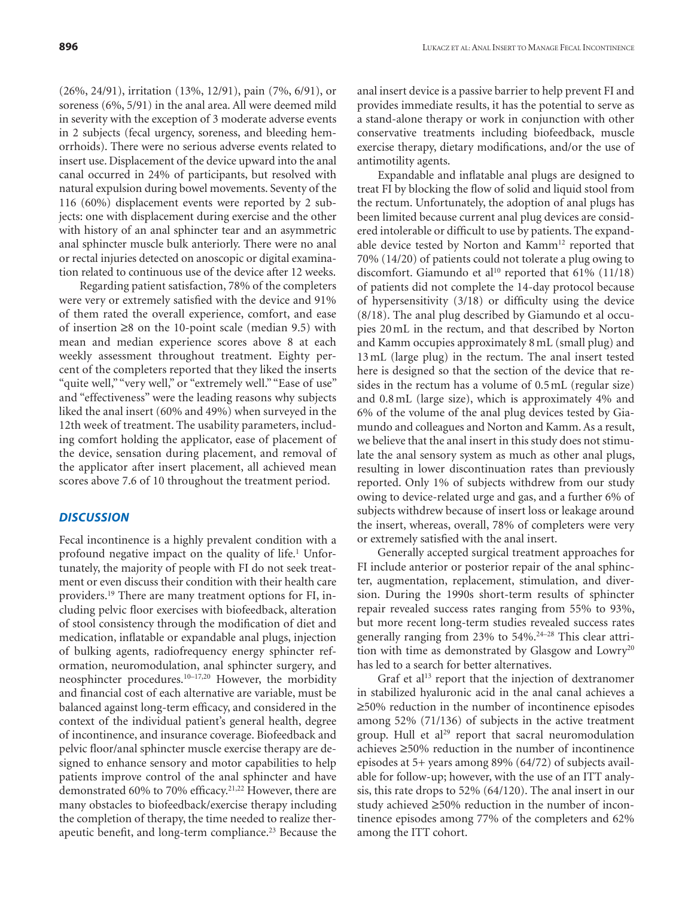(26%, 24/91), irritation (13%, 12/91), pain (7%, 6/91), or soreness (6%, 5/91) in the anal area. All were deemed mild in severity with the exception of 3 moderate adverse events in 2 subjects (fecal urgency, soreness, and bleeding hemorrhoids). There were no serious adverse events related to insert use. Displacement of the device upward into the anal canal occurred in 24% of participants, but resolved with natural expulsion during bowel movements. Seventy of the 116 (60%) displacement events were reported by 2 subjects: one with displacement during exercise and the other with history of an anal sphincter tear and an asymmetric anal sphincter muscle bulk anteriorly. There were no anal or rectal injuries detected on anoscopic or digital examination related to continuous use of the device after 12 weeks.

Regarding patient satisfaction, 78% of the completers were very or extremely satisfied with the device and 91% of them rated the overall experience, comfort, and ease of insertion ≥8 on the 10-point scale (median 9.5) with mean and median experience scores above 8 at each weekly assessment throughout treatment. Eighty percent of the completers reported that they liked the inserts "quite well," "very well," or "extremely well." "Ease of use" and "effectiveness" were the leading reasons why subjects liked the anal insert (60% and 49%) when surveyed in the 12th week of treatment. The usability parameters, including comfort holding the applicator, ease of placement of the device, sensation during placement, and removal of the applicator after insert placement, all achieved mean scores above 7.6 of 10 throughout the treatment period.

## *DISCUSSION*

Fecal incontinence is a highly prevalent condition with a profound negative impact on the quality of life.<sup>1</sup> Unfortunately, the majority of people with FI do not seek treatment or even discuss their condition with their health care providers.19 There are many treatment options for FI, including pelvic floor exercises with biofeedback, alteration of stool consistency through the modification of diet and medication, inflatable or expandable anal plugs, injection of bulking agents, radiofrequency energy sphincter reformation, neuromodulation, anal sphincter surgery, and neosphincter procedures.10–17,20 However, the morbidity and financial cost of each alternative are variable, must be balanced against long-term efficacy, and considered in the context of the individual patient's general health, degree of incontinence, and insurance coverage. Biofeedback and pelvic floor/anal sphincter muscle exercise therapy are designed to enhance sensory and motor capabilities to help patients improve control of the anal sphincter and have demonstrated 60% to 70% efficacy.<sup>21,22</sup> However, there are many obstacles to biofeedback/exercise therapy including the completion of therapy, the time needed to realize therapeutic benefit, and long-term compliance.<sup>23</sup> Because the

anal insert device is a passive barrier to help prevent FI and provides immediate results, it has the potential to serve as a stand-alone therapy or work in conjunction with other conservative treatments including biofeedback, muscle exercise therapy, dietary modifications, and/or the use of antimotility agents.

Expandable and inflatable anal plugs are designed to treat FI by blocking the flow of solid and liquid stool from the rectum. Unfortunately, the adoption of anal plugs has been limited because current anal plug devices are considered intolerable or difficult to use by patients. The expandable device tested by Norton and Kamm<sup>12</sup> reported that 70% (14/20) of patients could not tolerate a plug owing to discomfort. Giamundo et al<sup>10</sup> reported that  $61\%$  (11/18) of patients did not complete the 14-day protocol because of hypersensitivity (3/18) or difficulty using the device (8/18). The anal plug described by Giamundo et al occupies 20 mL in the rectum, and that described by Norton and Kamm occupies approximately 8 mL (small plug) and 13 mL (large plug) in the rectum. The anal insert tested here is designed so that the section of the device that resides in the rectum has a volume of 0.5 mL (regular size) and 0.8 mL (large size), which is approximately 4% and 6% of the volume of the anal plug devices tested by Giamundo and colleagues and Norton and Kamm. As a result, we believe that the anal insert in this study does not stimulate the anal sensory system as much as other anal plugs, resulting in lower discontinuation rates than previously reported. Only 1% of subjects withdrew from our study owing to device-related urge and gas, and a further 6% of subjects withdrew because of insert loss or leakage around the insert, whereas, overall, 78% of completers were very or extremely satisfied with the anal insert.

Generally accepted surgical treatment approaches for FI include anterior or posterior repair of the anal sphincter, augmentation, replacement, stimulation, and diversion. During the 1990s short-term results of sphincter repair revealed success rates ranging from 55% to 93%, but more recent long-term studies revealed success rates generally ranging from 23% to 54%.24–28 This clear attrition with time as demonstrated by Glasgow and Lowry<sup>20</sup> has led to a search for better alternatives.

Graf et al<sup>13</sup> report that the injection of dextranomer in stabilized hyaluronic acid in the anal canal achieves a ≥50% reduction in the number of incontinence episodes among 52% (71/136) of subjects in the active treatment group. Hull et  $al^{29}$  report that sacral neuromodulation achieves ≥50% reduction in the number of incontinence episodes at 5+ years among 89% (64/72) of subjects available for follow-up; however, with the use of an ITT analysis, this rate drops to 52% (64/120). The anal insert in our study achieved ≥50% reduction in the number of incontinence episodes among 77% of the completers and 62% among the ITT cohort.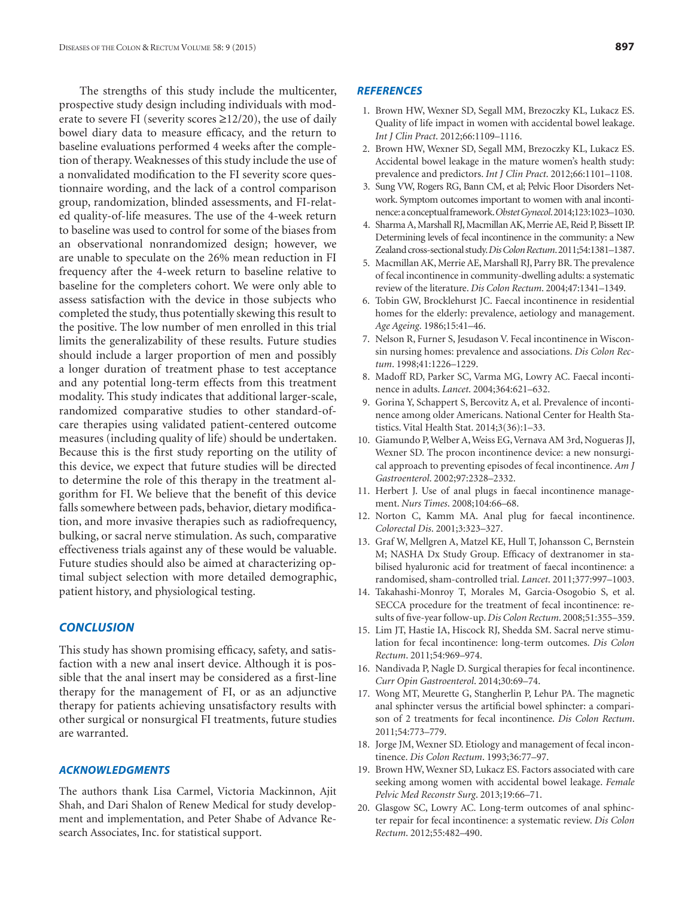The strengths of this study include the multicenter, prospective study design including individuals with moderate to severe FI (severity scores  $\geq$ 12/20), the use of daily bowel diary data to measure efficacy, and the return to baseline evaluations performed 4 weeks after the completion of therapy. Weaknesses of this study include the use of a nonvalidated modification to the FI severity score questionnaire wording, and the lack of a control comparison group, randomization, blinded assessments, and FI-related quality-of-life measures. The use of the 4-week return to baseline was used to control for some of the biases from an observational nonrandomized design; however, we are unable to speculate on the 26% mean reduction in FI frequency after the 4-week return to baseline relative to baseline for the completers cohort. We were only able to assess satisfaction with the device in those subjects who completed the study, thus potentially skewing this result to the positive. The low number of men enrolled in this trial limits the generalizability of these results. Future studies should include a larger proportion of men and possibly a longer duration of treatment phase to test acceptance and any potential long-term effects from this treatment modality. This study indicates that additional larger-scale, randomized comparative studies to other standard-ofcare therapies using validated patient-centered outcome measures (including quality of life) should be undertaken. Because this is the first study reporting on the utility of this device, we expect that future studies will be directed to determine the role of this therapy in the treatment algorithm for FI. We believe that the benefit of this device falls somewhere between pads, behavior, dietary modification, and more invasive therapies such as radiofrequency, bulking, or sacral nerve stimulation. As such, comparative effectiveness trials against any of these would be valuable. Future studies should also be aimed at characterizing optimal subject selection with more detailed demographic, patient history, and physiological testing.

#### *CONCLUSION*

This study has shown promising efficacy, safety, and satisfaction with a new anal insert device. Although it is possible that the anal insert may be considered as a first-line therapy for the management of FI, or as an adjunctive therapy for patients achieving unsatisfactory results with other surgical or nonsurgical FI treatments, future studies are warranted.

#### *ACKNOWLEDGMENTS*

The authors thank Lisa Carmel, Victoria Mackinnon, Ajit Shah, and Dari Shalon of Renew Medical for study development and implementation, and Peter Shabe of Advance Research Associates, Inc. for statistical support.

#### *REFERENCES*

- 1. Brown HW, Wexner SD, Segall MM, Brezoczky KL, Lukacz ES. Quality of life impact in women with accidental bowel leakage. *Int J Clin Pract*. 2012;66:1109–1116.
- 2. Brown HW, Wexner SD, Segall MM, Brezoczky KL, Lukacz ES. Accidental bowel leakage in the mature women's health study: prevalence and predictors. *Int J Clin Pract*. 2012;66:1101–1108.
- 3. Sung VW, Rogers RG, Bann CM, et al; Pelvic Floor Disorders Network. Symptom outcomes important to women with anal incontinence: a conceptual framework. *Obstet Gynecol*. 2014;123:1023–1030.
- 4. Sharma A, Marshall RJ, Macmillan AK, Merrie AE, Reid P, Bissett IP. Determining levels of fecal incontinence in the community: a New Zealand cross-sectional study. *Dis Colon Rectum*. 2011;54:1381–1387.
- 5. Macmillan AK, Merrie AE, Marshall RJ, Parry BR. The prevalence of fecal incontinence in community-dwelling adults: a systematic review of the literature. *Dis Colon Rectum*. 2004;47:1341–1349.
- 6. Tobin GW, Brocklehurst JC. Faecal incontinence in residential homes for the elderly: prevalence, aetiology and management. *Age Ageing*. 1986;15:41–46.
- 7. Nelson R, Furner S, Jesudason V. Fecal incontinence in Wisconsin nursing homes: prevalence and associations. *Dis Colon Rectum*. 1998;41:1226–1229.
- 8. Madoff RD, Parker SC, Varma MG, Lowry AC. Faecal incontinence in adults. *Lancet*. 2004;364:621–632.
- 9. Gorina Y, Schappert S, Bercovitz A, et al. Prevalence of incontinence among older Americans. National Center for Health Statistics. Vital Health Stat. 2014;3(36):1–33.
- 10. Giamundo P, Welber A, Weiss EG, Vernava AM 3rd, Nogueras JJ, Wexner SD. The procon incontinence device: a new nonsurgical approach to preventing episodes of fecal incontinence. *Am J Gastroenterol*. 2002;97:2328–2332.
- 11. Herbert J. Use of anal plugs in faecal incontinence management. *Nurs Times*. 2008;104:66–68.
- 12. Norton C, Kamm MA. Anal plug for faecal incontinence. *Colorectal Dis*. 2001;3:323–327.
- 13. Graf W, Mellgren A, Matzel KE, Hull T, Johansson C, Bernstein M; NASHA Dx Study Group. Efficacy of dextranomer in stabilised hyaluronic acid for treatment of faecal incontinence: a randomised, sham-controlled trial. *Lancet*. 2011;377:997–1003.
- 14. Takahashi-Monroy T, Morales M, Garcia-Osogobio S, et al. SECCA procedure for the treatment of fecal incontinence: results of five-year follow-up. *Dis Colon Rectum*. 2008;51:355–359.
- 15. Lim JT, Hastie IA, Hiscock RJ, Shedda SM. Sacral nerve stimulation for fecal incontinence: long-term outcomes. *Dis Colon Rectum*. 2011;54:969–974.
- 16. Nandivada P, Nagle D. Surgical therapies for fecal incontinence. *Curr Opin Gastroenterol*. 2014;30:69–74.
- 17. Wong MT, Meurette G, Stangherlin P, Lehur PA. The magnetic anal sphincter versus the artificial bowel sphincter: a comparison of 2 treatments for fecal incontinence. *Dis Colon Rectum*. 2011;54:773–779.
- 18. Jorge JM, Wexner SD. Etiology and management of fecal incontinence. *Dis Colon Rectum*. 1993;36:77–97.
- 19. Brown HW, Wexner SD, Lukacz ES. Factors associated with care seeking among women with accidental bowel leakage. *Female Pelvic Med Reconstr Surg*. 2013;19:66–71.
- 20. Glasgow SC, Lowry AC. Long-term outcomes of anal sphincter repair for fecal incontinence: a systematic review. *Dis Colon Rectum*. 2012;55:482–490.